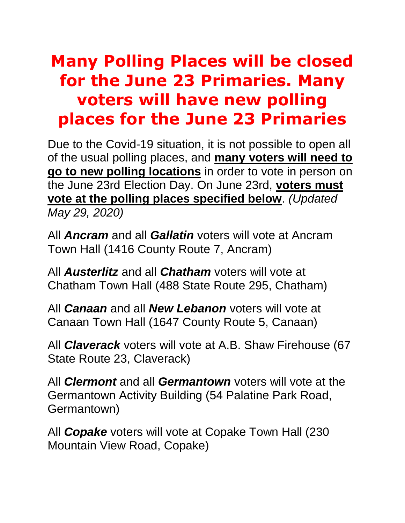## **Many Polling Places will be closed for the June 23 Primaries. Many voters will have new polling places for the June 23 Primaries**

Due to the Covid-19 situation, it is not possible to open all of the usual polling places, and **many voters will need to go to new polling locations** in order to vote in person on the June 23rd Election Day. On June 23rd, **voters must vote at the polling places specified below**. *(Updated May 29, 2020)*

All *Ancram* and all *Gallatin* voters will vote at Ancram Town Hall (1416 County Route 7, Ancram)

All *Austerlitz* and all *Chatham* voters will vote at Chatham Town Hall (488 State Route 295, Chatham)

All *Canaan* and all *New Lebanon* voters will vote at Canaan Town Hall (1647 County Route 5, Canaan)

All *Claverack* voters will vote at A.B. Shaw Firehouse (67 State Route 23, Claverack)

All *Clermont* and all *Germantown* voters will vote at the Germantown Activity Building (54 Palatine Park Road, Germantown)

All *Copake* voters will vote at Copake Town Hall (230 Mountain View Road, Copake)